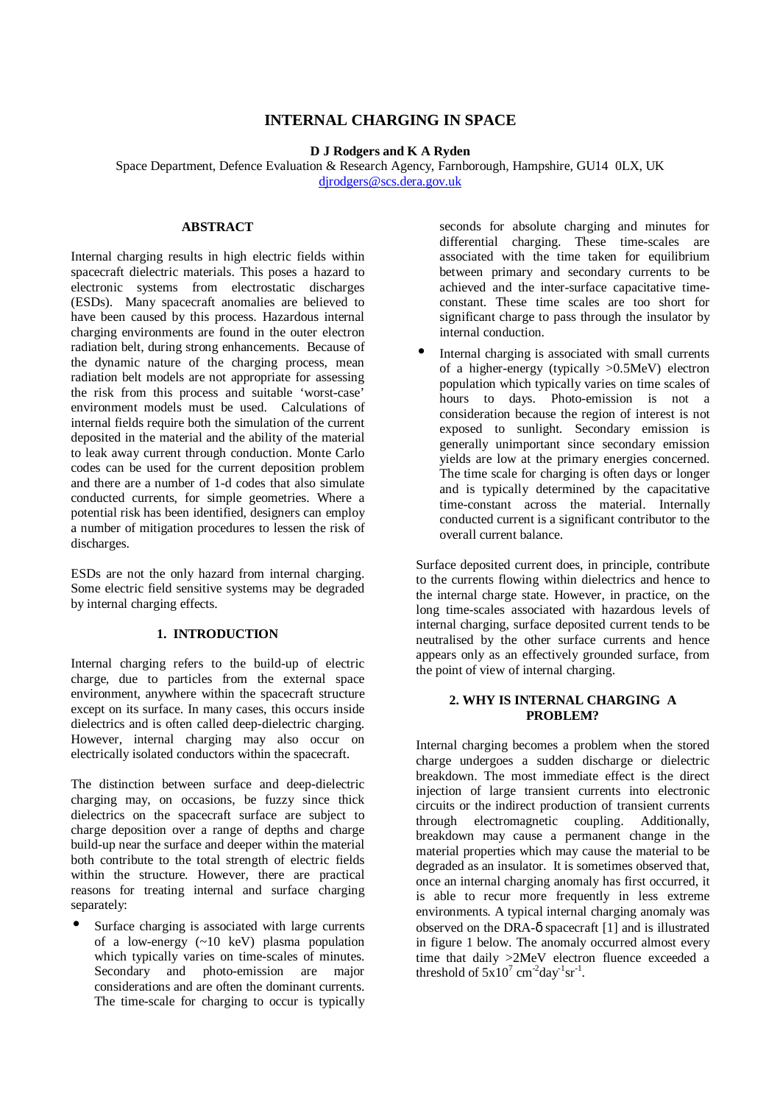# **INTERNAL CHARGING IN SPACE**

**D J Rodgers and K A Ryden**

Space Department, Defence Evaluation & Research Agency, Farnborough, Hampshire, GU14 0LX, UK dirodgers@scs.dera.gov.uk

# **ABSTRACT**

Internal charging results in high electric fields within spacecraft dielectric materials. This poses a hazard to electronic systems from electrostatic discharges (ESDs). Many spacecraft anomalies are believed to have been caused by this process. Hazardous internal charging environments are found in the outer electron radiation belt, during strong enhancements. Because of the dynamic nature of the charging process, mean radiation belt models are not appropriate for assessing the risk from this process and suitable 'worst-case' environment models must be used. Calculations of internal fields require both the simulation of the current deposited in the material and the ability of the material to leak away current through conduction. Monte Carlo codes can be used for the current deposition problem and there are a number of 1-d codes that also simulate conducted currents, for simple geometries. Where a potential risk has been identified, designers can employ a number of mitigation procedures to lessen the risk of discharges.

ESDs are not the only hazard from internal charging. Some electric field sensitive systems may be degraded by internal charging effects.

# **1. INTRODUCTION**

Internal charging refers to the build-up of electric charge, due to particles from the external space environment, anywhere within the spacecraft structure except on its surface. In many cases, this occurs inside dielectrics and is often called deep-dielectric charging. However, internal charging may also occur on electrically isolated conductors within the spacecraft.

The distinction between surface and deep-dielectric charging may, on occasions, be fuzzy since thick dielectrics on the spacecraft surface are subject to charge deposition over a range of depths and charge build-up near the surface and deeper within the material both contribute to the total strength of electric fields within the structure. However, there are practical reasons for treating internal and surface charging separately:

Surface charging is associated with large currents of a low-energy  $(\sim 10 \text{ keV})$  plasma population which typically varies on time-scales of minutes. Secondary and photo-emission are major considerations and are often the dominant currents. The time-scale for charging to occur is typically

seconds for absolute charging and minutes for differential charging. These time-scales are associated with the time taken for equilibrium between primary and secondary currents to be achieved and the inter-surface capacitative timeconstant. These time scales are too short for significant charge to pass through the insulator by internal conduction.

Internal charging is associated with small currents of a higher-energy (typically >0.5MeV) electron population which typically varies on time scales of hours to days. Photo-emission is not a consideration because the region of interest is not exposed to sunlight. Secondary emission is generally unimportant since secondary emission yields are low at the primary energies concerned. The time scale for charging is often days or longer and is typically determined by the capacitative time-constant across the material. Internally conducted current is a significant contributor to the overall current balance.

Surface deposited current does, in principle, contribute to the currents flowing within dielectrics and hence to the internal charge state. However, in practice, on the long time-scales associated with hazardous levels of internal charging, surface deposited current tends to be neutralised by the other surface currents and hence appears only as an effectively grounded surface, from the point of view of internal charging.

# **2. WHY IS INTERNAL CHARGING A PROBLEM?**

Internal charging becomes a problem when the stored charge undergoes a sudden discharge or dielectric breakdown. The most immediate effect is the direct injection of large transient currents into electronic circuits or the indirect production of transient currents through electromagnetic coupling. Additionally, breakdown may cause a permanent change in the material properties which may cause the material to be degraded as an insulator. It is sometimes observed that, once an internal charging anomaly has first occurred, it is able to recur more frequently in less extreme environments. A typical internal charging anomaly was observed on the DRA-δ spacecraft [1] and is illustrated in figure 1 below. The anomaly occurred almost every time that daily >2MeV electron fluence exceeded a threshold of  $5x10^7$  cm<sup>-2</sup>day<sup>-1</sup>sr<sup>-1</sup>.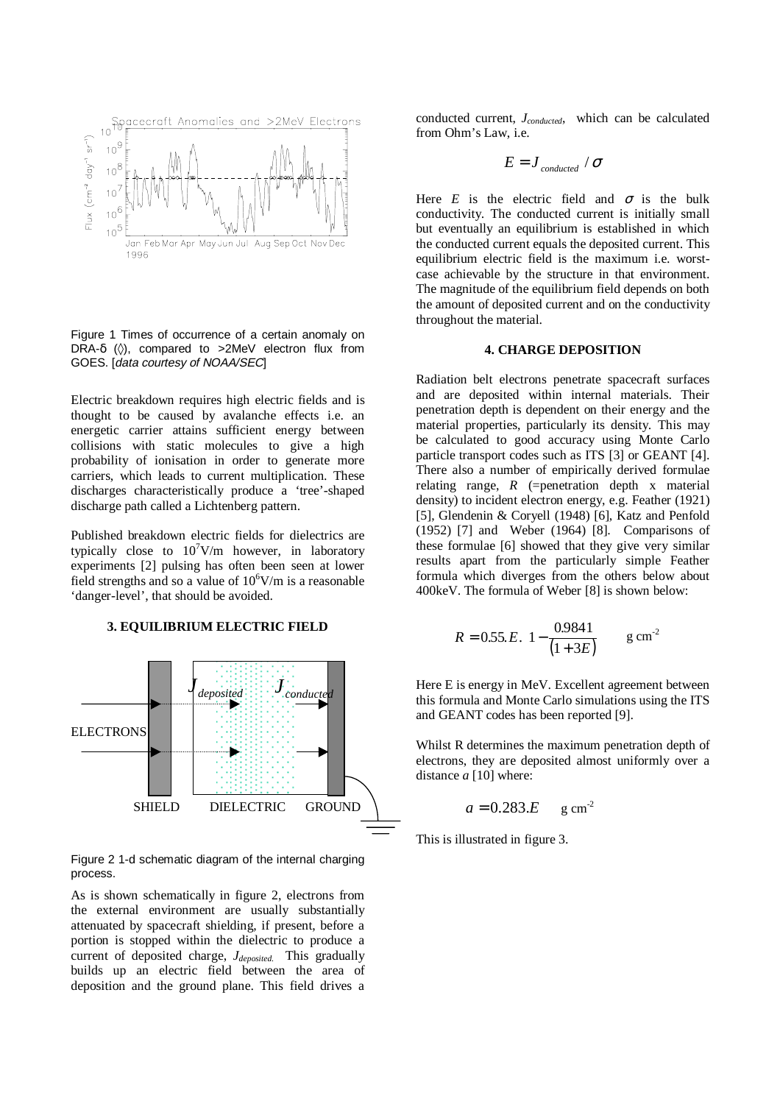

Figure 1 Times of occurrence of a certain anomaly on DRA- $\delta$  ( $\Diamond$ ), compared to >2MeV electron flux from GOES. [data courtesy of NOAA/SEC]

Electric breakdown requires high electric fields and is thought to be caused by avalanche effects i.e. an energetic carrier attains sufficient energy between collisions with static molecules to give a high probability of ionisation in order to generate more carriers, which leads to current multiplication. These discharges characteristically produce a 'tree'-shaped discharge path called a Lichtenberg pattern.

Published breakdown electric fields for dielectrics are typically close to  $10^7$ V/m however, in laboratory experiments [2] pulsing has often been seen at lower field strengths and so a value of  $10^6$ V/m is a reasonable 'danger-level', that should be avoided.

#### **3. EQUILIBRIUM ELECTRIC FIELD**



Figure 2 1-d schematic diagram of the internal charging process.

As is shown schematically in figure 2, electrons from the external environment are usually substantially attenuated by spacecraft shielding, if present, before a portion is stopped within the dielectric to produce a current of deposited charge, *Jdeposited*. This gradually builds up an electric field between the area of deposition and the ground plane. This field drives a

conducted current, *Jconducted*, which can be calculated from Ohm's Law, i.e.

$$
E = J_{\text{conducted}} / \sigma
$$

Here *E* is the electric field and  $\sigma$  is the bulk conductivity. The conducted current is initially small but eventually an equilibrium is established in which the conducted current equals the deposited current. This equilibrium electric field is the maximum i.e. worstcase achievable by the structure in that environment. The magnitude of the equilibrium field depends on both the amount of deposited current and on the conductivity throughout the material.

#### **4. CHARGE DEPOSITION**

Radiation belt electrons penetrate spacecraft surfaces and are deposited within internal materials. Their penetration depth is dependent on their energy and the material properties, particularly its density. This may be calculated to good accuracy using Monte Carlo particle transport codes such as ITS [3] or GEANT [4]. There also a number of empirically derived formulae relating range, *R* (=penetration depth x material density) to incident electron energy, e.g. Feather (1921) [5], Glendenin & Coryell (1948) [6], Katz and Penfold (1952) [7] and Weber (1964) [8]. Comparisons of these formulae [6] showed that they give very similar results apart from the particularly simple Feather formula which diverges from the others below about 400keV. The formula of Weber [8] is shown below:

$$
R = 0.55.E.\left[1 - \frac{0.9841}{(1 + 3E)}\right] \quad \text{g cm}^{-2}
$$

Here E is energy in MeV. Excellent agreement between this formula and Monte Carlo simulations using the ITS and GEANT codes has been reported [9].

Whilst R determines the maximum penetration depth of electrons, they are deposited almost uniformly over a distance *a* [10] where:

$$
a = 0.283.E \quad \text{g cm}^2
$$

This is illustrated in figure 3.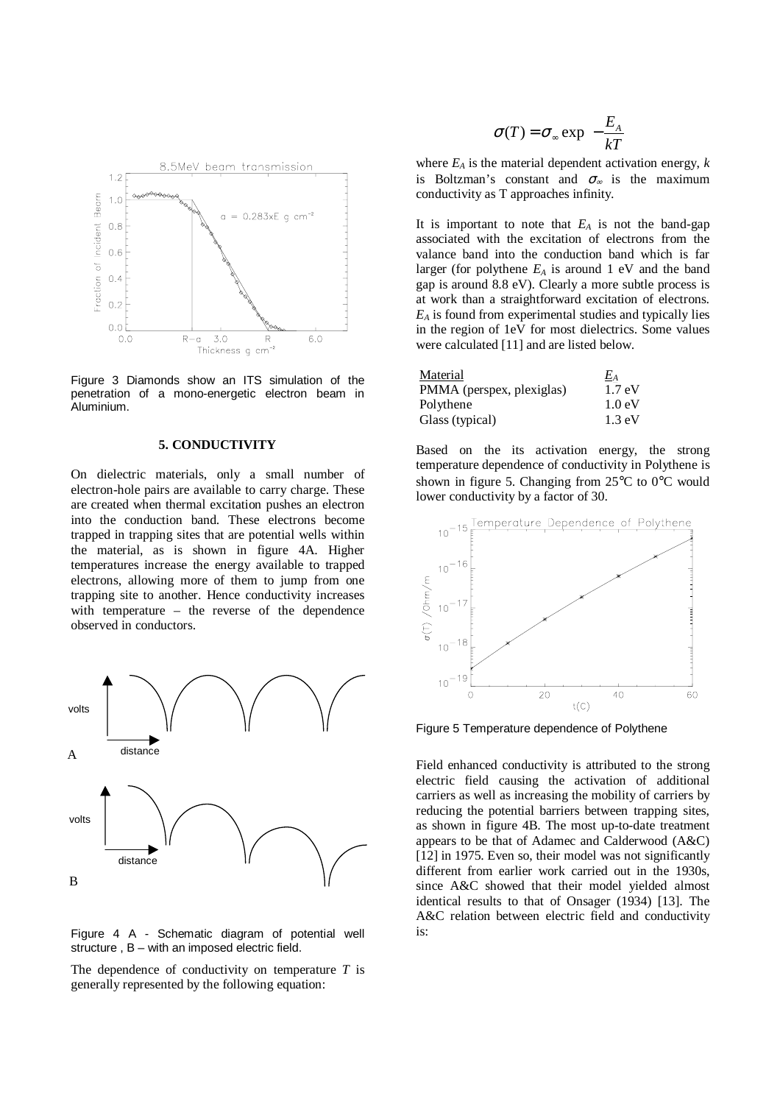

Figure 3 Diamonds show an ITS simulation of the penetration of a mono-energetic electron beam in Aluminium.

#### **5. CONDUCTIVITY**

On dielectric materials, only a small number of electron-hole pairs are available to carry charge. These are created when thermal excitation pushes an electron into the conduction band. These electrons become trapped in trapping sites that are potential wells within the material, as is shown in figure 4A. Higher temperatures increase the energy available to trapped electrons, allowing more of them to jump from one trapping site to another. Hence conductivity increases with temperature – the reverse of the dependence observed in conductors.



Figure 4 A - Schematic diagram of potential well structure , B – with an imposed electric field.

The dependence of conductivity on temperature *T* is generally represented by the following equation:

$$
\sigma(T) = \sigma_{\infty} \exp\left(-\frac{E_A}{kT}\right)
$$

where  $E_A$  is the material dependent activation energy,  $k$ is Boltzman's constant and  $\sigma_{\infty}$  is the maximum conductivity as T approaches infinity.

It is important to note that  $E_A$  is not the band-gap associated with the excitation of electrons from the valance band into the conduction band which is far larger (for polythene  $E_A$  is around 1 eV and the band gap is around 8.8 eV). Clearly a more subtle process is at work than a straightforward excitation of electrons. *EA* is found from experimental studies and typically lies in the region of 1eV for most dielectrics. Some values were calculated [11] and are listed below.

| Material                  | $E_A$            |
|---------------------------|------------------|
| PMMA (perspex, plexiglas) | $1.7 \text{ eV}$ |
| Polythene                 | $1.0 \text{ eV}$ |
| Glass (typical)           | $1.3 \text{ eV}$ |

Based on the its activation energy, the strong temperature dependence of conductivity in Polythene is shown in figure 5. Changing from 25°C to 0°C would lower conductivity by a factor of 30.



Figure 5 Temperature dependence of Polythene

Field enhanced conductivity is attributed to the strong electric field causing the activation of additional carriers as well as increasing the mobility of carriers by reducing the potential barriers between trapping sites, as shown in figure 4B. The most up-to-date treatment appears to be that of Adamec and Calderwood (A&C) [12] in 1975. Even so, their model was not significantly different from earlier work carried out in the 1930s, since A&C showed that their model yielded almost identical results to that of Onsager (1934) [13]. The A&C relation between electric field and conductivity is: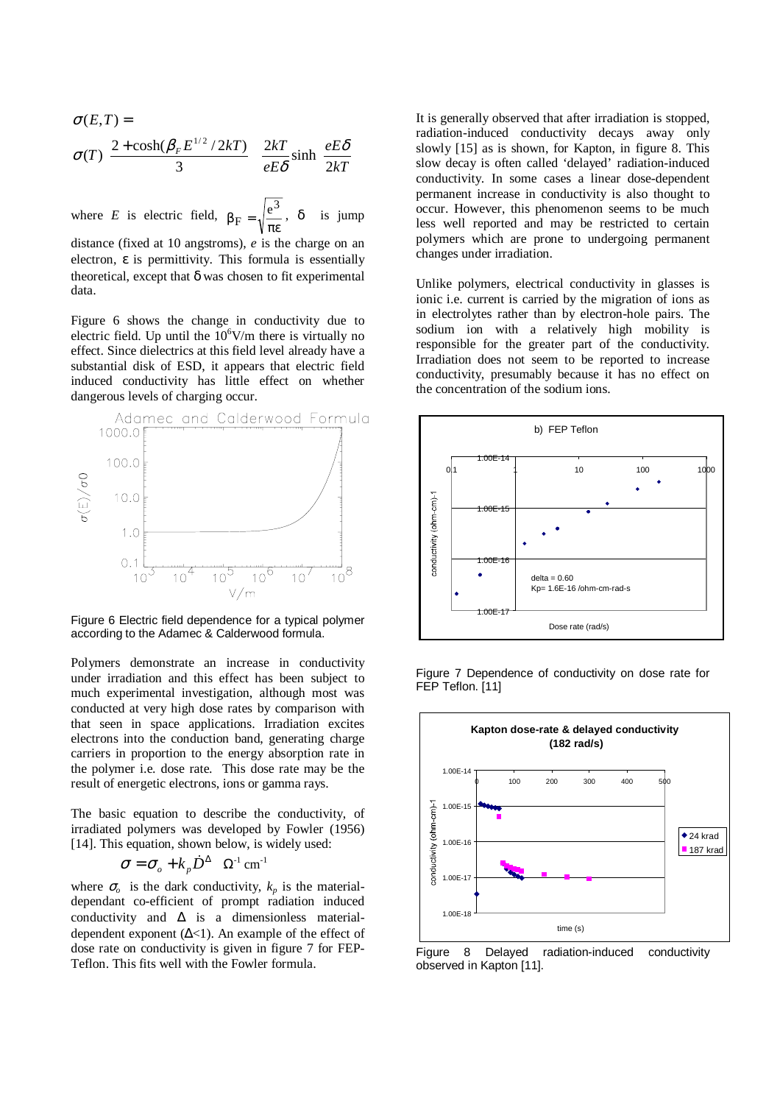$$
\sigma(E,T) = \sigma(T) \left( \frac{2 + \cosh(\beta_F E^{1/2} / 2kT)}{3} \right) \left( \frac{2kT}{eE\delta} \sinh\left(\frac{eE\delta}{2kT}\right) \right)
$$

where *E* is electric field,  $\beta_F = \sqrt{\frac{e^3}{\pi \epsilon}}$ , δ is jump

distance (fixed at 10 angstroms), *e* is the charge on an electron,  $\varepsilon$  is permittivity. This formula is essentially theoretical, except that  $\delta$  was chosen to fit experimental data.

Figure 6 shows the change in conductivity due to electric field. Up until the  $10^6$ V/m there is virtually no effect. Since dielectrics at this field level already have a substantial disk of ESD, it appears that electric field induced conductivity has little effect on whether dangerous levels of charging occur.



Figure 6 Electric field dependence for a typical polymer according to the Adamec & Calderwood formula.

Polymers demonstrate an increase in conductivity under irradiation and this effect has been subject to much experimental investigation, although most was conducted at very high dose rates by comparison with that seen in space applications. Irradiation excites electrons into the conduction band, generating charge carriers in proportion to the energy absorption rate in the polymer i.e. dose rate. This dose rate may be the result of energetic electrons, ions or gamma rays.

The basic equation to describe the conductivity, of irradiated polymers was developed by Fowler (1956) [14]. This equation, shown below, is widely used: energetic electrons, ions or g<br>
c equation to describe the<br>
l polymers was developed<br>
s equation, shown below, is<br>  $\sigma = \sigma_o + k_p D^{\Delta} \Omega^{-1}$  cm<sup>-1</sup>

$$
\sigma = \sigma_o + k_p D^{\Delta} \quad \Omega^{-1} \text{ cm}^{-1}
$$

where  $\sigma$  is the dark conductivity,  $k_p$  is the materialdependant co-efficient of prompt radiation induced conductivity and ∆ is a dimensionless materialdependent exponent  $(\Delta < 1)$ . An example of the effect of dose rate on conductivity is given in figure 7 for FEP-Teflon. This fits well with the Fowler formula.

It is generally observed that after irradiation is stopped, radiation-induced conductivity decays away only slowly [15] as is shown, for Kapton, in figure 8. This slow decay is often called 'delayed' radiation-induced conductivity. In some cases a linear dose-dependent permanent increase in conductivity is also thought to occur. However, this phenomenon seems to be much less well reported and may be restricted to certain polymers which are prone to undergoing permanent changes under irradiation.

Unlike polymers, electrical conductivity in glasses is ionic i.e. current is carried by the migration of ions as in electrolytes rather than by electron-hole pairs. The sodium ion with a relatively high mobility is responsible for the greater part of the conductivity. Irradiation does not seem to be reported to increase conductivity, presumably because it has no effect on the concentration of the sodium ions.





Figure 7 Dependence of conductivity on dose rate for FEP Teflon. [11]

Figure 8 Delayed radiation-induced conductivity observed in Kapton [11].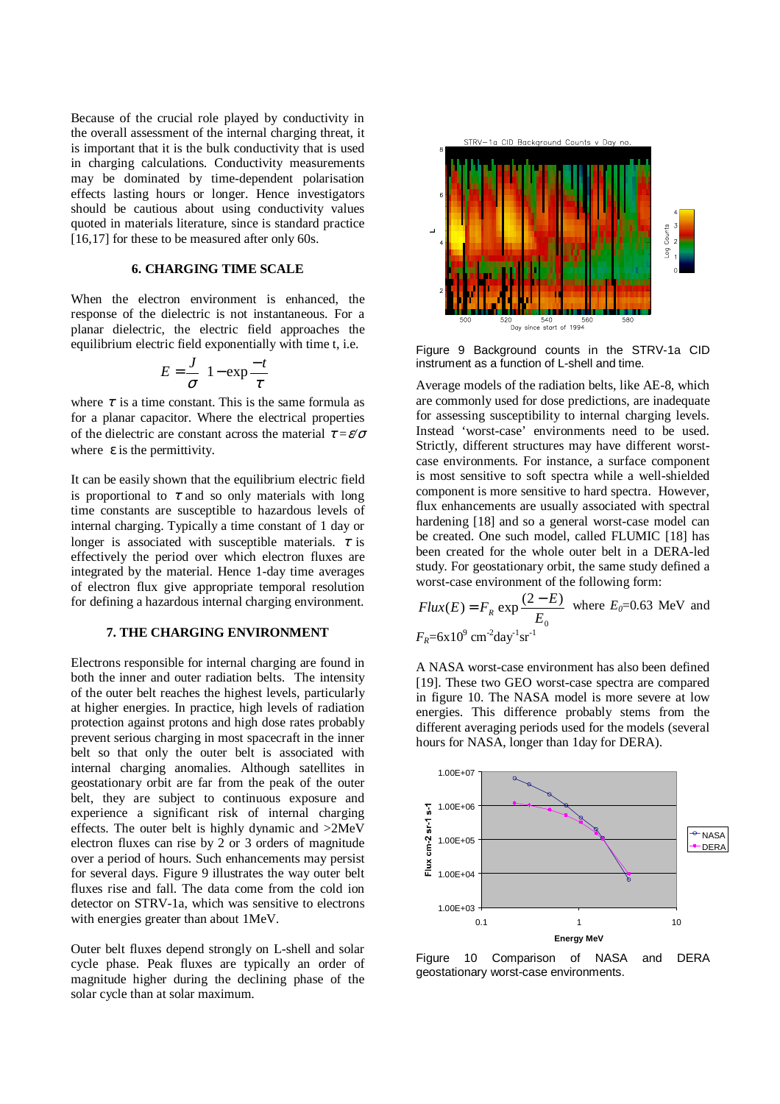Because of the crucial role played by conductivity in the overall assessment of the internal charging threat, it is important that it is the bulk conductivity that is used in charging calculations. Conductivity measurements may be dominated by time-dependent polarisation effects lasting hours or longer. Hence investigators should be cautious about using conductivity values quoted in materials literature, since is standard practice [16,17] for these to be measured after only 60s.

## **6. CHARGING TIME SCALE**

When the electron environment is enhanced, the response of the dielectric is not instantaneous. For a planar dielectric, the electric field approaches the equilibrium electric field exponentially with time t, i.e.

$$
E = \frac{J}{\sigma} \left( 1 - \exp \frac{-t}{\tau} \right)
$$

where  $\tau$  is a time constant. This is the same formula as for a planar capacitor. Where the electrical properties of the dielectric are constant across the material τ *=*ε*/*<sup>σ</sup> where  $\varepsilon$  is the permittivity.

It can be easily shown that the equilibrium electric field is proportional to  $\tau$  and so only materials with long time constants are susceptible to hazardous levels of internal charging. Typically a time constant of 1 day or longer is associated with susceptible materials.  $\tau$  is effectively the period over which electron fluxes are integrated by the material. Hence 1-day time averages of electron flux give appropriate temporal resolution for defining a hazardous internal charging environment.

#### **7. THE CHARGING ENVIRONMENT**

Electrons responsible for internal charging are found in both the inner and outer radiation belts. The intensity of the outer belt reaches the highest levels, particularly at higher energies. In practice, high levels of radiation protection against protons and high dose rates probably prevent serious charging in most spacecraft in the inner belt so that only the outer belt is associated with internal charging anomalies. Although satellites in geostationary orbit are far from the peak of the outer belt, they are subject to continuous exposure and experience a significant risk of internal charging effects. The outer belt is highly dynamic and >2MeV electron fluxes can rise by 2 or 3 orders of magnitude over a period of hours. Such enhancements may persist for several days. Figure 9 illustrates the way outer belt fluxes rise and fall. The data come from the cold ion detector on STRV-1a, which was sensitive to electrons with energies greater than about 1MeV.

Outer belt fluxes depend strongly on L-shell and solar cycle phase. Peak fluxes are typically an order of magnitude higher during the declining phase of the solar cycle than at solar maximum.



Figure 9 Background counts in the STRV-1a CID instrument as a function of L-shell and time.

Average models of the radiation belts, like AE-8, which are commonly used for dose predictions, are inadequate for assessing susceptibility to internal charging levels. Instead 'worst-case' environments need to be used. Strictly, different structures may have different worstcase environments. For instance, a surface component is most sensitive to soft spectra while a well-shielded component is more sensitive to hard spectra. However, flux enhancements are usually associated with spectral hardening [18] and so a general worst-case model can be created. One such model, called FLUMIC [18] has been created for the whole outer belt in a DERA-led study. For geostationary orbit, the same study defined a worst-case environment of the following form:

 $Flux(E) = F_R \exp \frac{(2 - E)}{E_0}$  where  $E_0 = 0.63$  MeV and  $F_R$ =6x10<sup>9</sup> cm<sup>-2</sup>day<sup>-1</sup>sr<sup>-1</sup>

A NASA worst-case environment has also been defined [19]. These two GEO worst-case spectra are compared in figure 10. The NASA model is more severe at low energies. This difference probably stems from the different averaging periods used for the models (several hours for NASA, longer than 1day for DERA).



Figure 10 Comparison of NASA and DERA geostationary worst-case environments.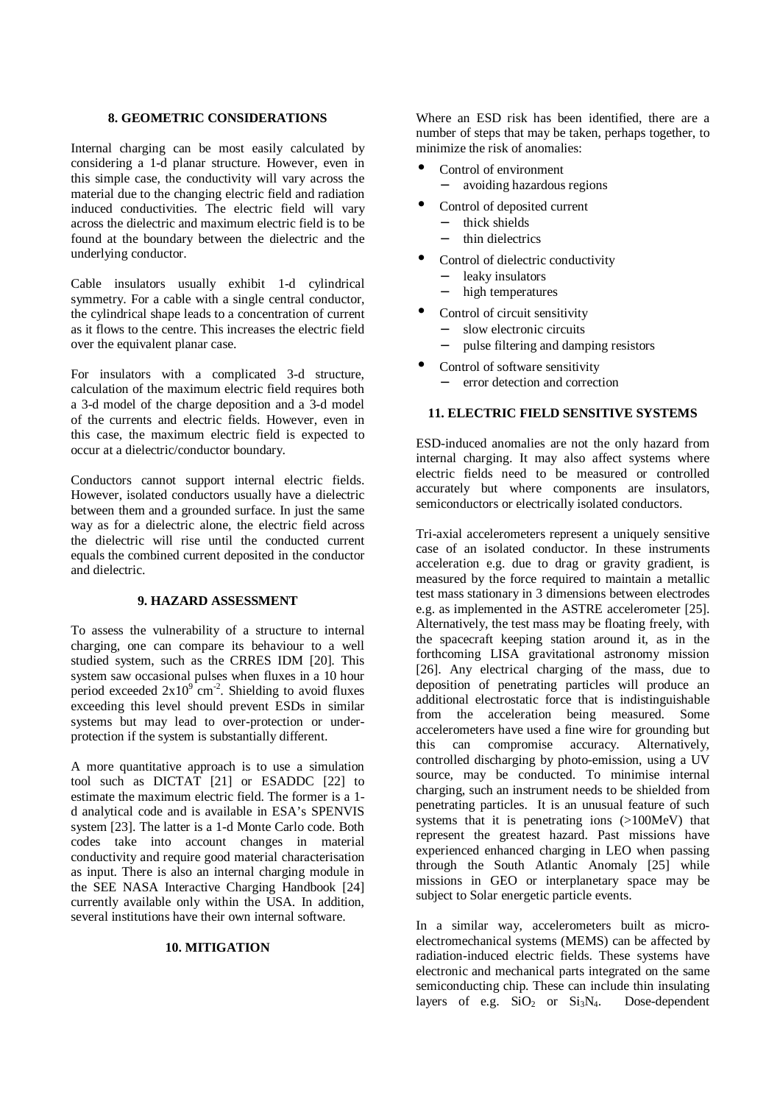## **8. GEOMETRIC CONSIDERATIONS**

Internal charging can be most easily calculated by considering a 1-d planar structure. However, even in this simple case, the conductivity will vary across the material due to the changing electric field and radiation induced conductivities. The electric field will vary across the dielectric and maximum electric field is to be found at the boundary between the dielectric and the underlying conductor.

Cable insulators usually exhibit 1-d cylindrical symmetry. For a cable with a single central conductor, the cylindrical shape leads to a concentration of current as it flows to the centre. This increases the electric field over the equivalent planar case.

For insulators with a complicated 3-d structure, calculation of the maximum electric field requires both a 3-d model of the charge deposition and a 3-d model of the currents and electric fields. However, even in this case, the maximum electric field is expected to occur at a dielectric/conductor boundary.

Conductors cannot support internal electric fields. However, isolated conductors usually have a dielectric between them and a grounded surface. In just the same way as for a dielectric alone, the electric field across the dielectric will rise until the conducted current equals the combined current deposited in the conductor and dielectric.

### **9. HAZARD ASSESSMENT**

To assess the vulnerability of a structure to internal charging, one can compare its behaviour to a well studied system, such as the CRRES IDM [20]. This system saw occasional pulses when fluxes in a 10 hour period exceeded  $2x10^9$  cm<sup>-2</sup>. Shielding to avoid fluxes exceeding this level should prevent ESDs in similar systems but may lead to over-protection or underprotection if the system is substantially different.

A more quantitative approach is to use a simulation tool such as DICTAT [21] or ESADDC [22] to estimate the maximum electric field. The former is a 1 d analytical code and is available in ESA's SPENVIS system [23]. The latter is a 1-d Monte Carlo code. Both codes take into account changes in material conductivity and require good material characterisation as input. There is also an internal charging module in the SEE NASA Interactive Charging Handbook [24] currently available only within the USA. In addition, several institutions have their own internal software.

#### **10. MITIGATION**

Where an ESD risk has been identified, there are a number of steps that may be taken, perhaps together, to minimize the risk of anomalies:

- Control of environment
	- − avoiding hazardous regions
	- Control of deposited current
	- − thick shields
		- − thin dielectrics
- Control of dielectric conductivity
	- − leaky insulators
	- high temperatures
- Control of circuit sensitivity
	- slow electronic circuits
	- − pulse filtering and damping resistors
- Control of software sensitivity error detection and correction

# **11. ELECTRIC FIELD SENSITIVE SYSTEMS**

ESD-induced anomalies are not the only hazard from internal charging. It may also affect systems where electric fields need to be measured or controlled accurately but where components are insulators, semiconductors or electrically isolated conductors.

Tri-axial accelerometers represent a uniquely sensitive case of an isolated conductor. In these instruments acceleration e.g. due to drag or gravity gradient, is measured by the force required to maintain a metallic test mass stationary in 3 dimensions between electrodes e.g. as implemented in the ASTRE accelerometer [25]. Alternatively, the test mass may be floating freely, with the spacecraft keeping station around it, as in the forthcoming LISA gravitational astronomy mission [26]. Any electrical charging of the mass, due to deposition of penetrating particles will produce an additional electrostatic force that is indistinguishable from the acceleration being measured. Some accelerometers have used a fine wire for grounding but<br>this can compromise accuracy. Alternatively, this can compromise accuracy. Alternatively, controlled discharging by photo-emission, using a UV source, may be conducted. To minimise internal charging, such an instrument needs to be shielded from penetrating particles. It is an unusual feature of such systems that it is penetrating ions (>100MeV) that represent the greatest hazard. Past missions have experienced enhanced charging in LEO when passing through the South Atlantic Anomaly [25] while missions in GEO or interplanetary space may be subject to Solar energetic particle events.

In a similar way, accelerometers built as microelectromechanical systems (MEMS) can be affected by radiation-induced electric fields. These systems have electronic and mechanical parts integrated on the same semiconducting chip. These can include thin insulating layers of e.g.  $SiO<sub>2</sub>$  or  $Si<sub>3</sub>N<sub>4</sub>$ . Dose-dependent